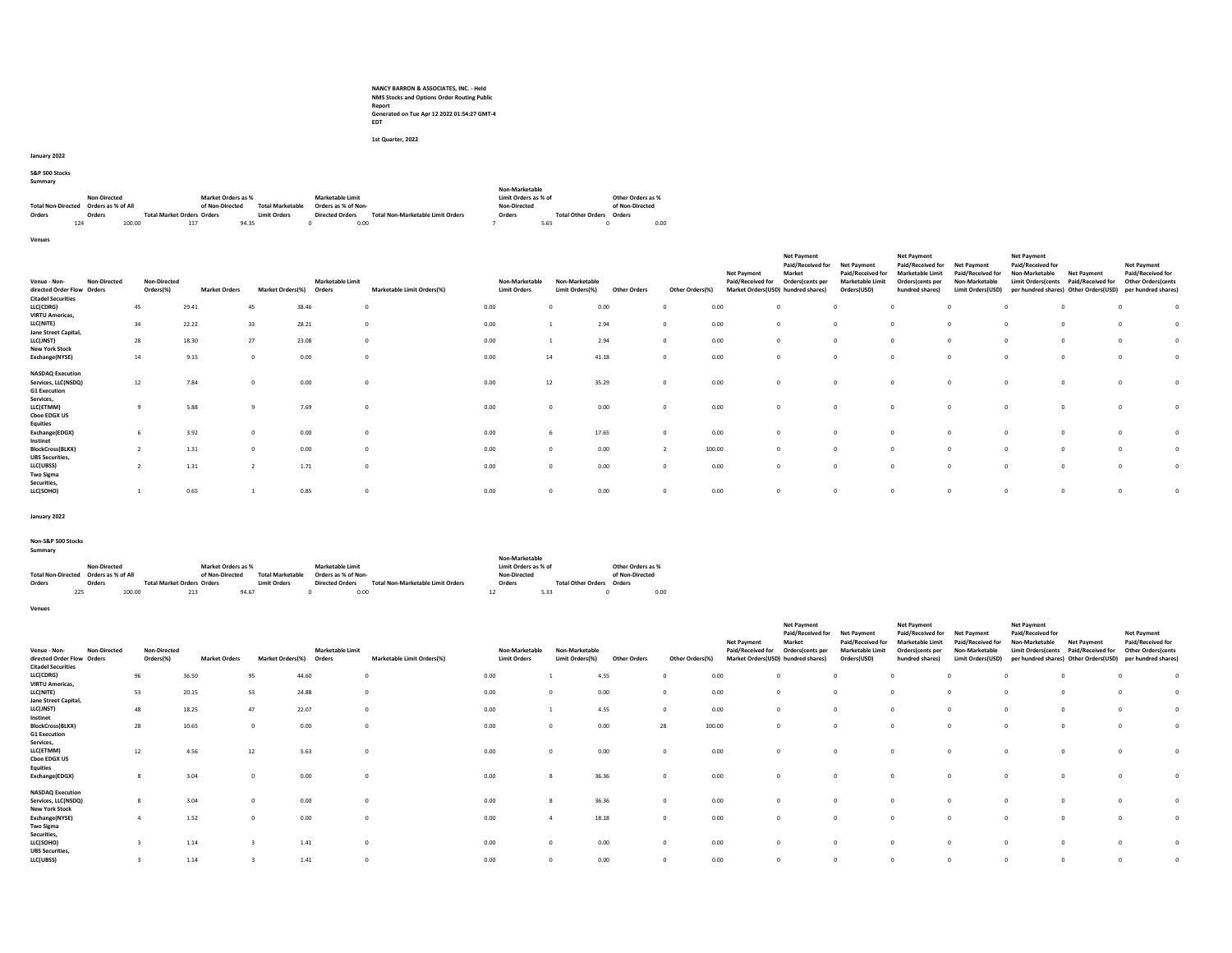NANCY BARRON & ASSOCIATES, INC. - Held NMS Stocks and Options Order Routing Public Report Generated on Tue Apr 12 2022 01:54:27 GMT-4 EDT

1st Quarter, 2022

January 2022

S&P 500 Stocks

|  |  | . |
|--|--|---|
|  |  | × |

| Julilliaiv                |                     |        |                                   |                    |                         |                        |      |                                          |                      |                                  |                   |      |
|---------------------------|---------------------|--------|-----------------------------------|--------------------|-------------------------|------------------------|------|------------------------------------------|----------------------|----------------------------------|-------------------|------|
|                           |                     |        |                                   |                    |                         |                        |      |                                          | Non-Marketable       |                                  |                   |      |
|                           | <b>Non-Directed</b> |        |                                   | Market Orders as % |                         | Marketable Limit       |      |                                          | Limit Orders as % of |                                  | Other Orders as % |      |
| <b>Total Non-Directed</b> | Orders as % of All  |        |                                   | of Non-Directed    | <b>Total Marketable</b> | Orders as % of Non-    |      |                                          | Non-Directed         |                                  | of Non-Directed   |      |
| Orders                    | Orders              |        | <b>Total Market Orders Orders</b> |                    | <b>Limit Orders</b>     | <b>Directed Orders</b> |      | <b>Total Non-Marketable Limit Orders</b> | Orders               | <b>Total Other Orders Orders</b> |                   |      |
|                           | 124                 | 100.00 | 117                               | 94.35              |                         |                        | 0.00 |                                          |                      | 5.65                             |                   | 0.00 |

Venues

| Venue - Non-<br>directed Order Flow Orders                            | Non-Directed | <b>Non-Directed</b><br>Orders(%) | <b>Market Orders</b> | Market Orders(%) | <b>Marketable Limit</b><br>Orders | Marketable Limit Orders(%) | Non-Marketable<br><b>Limit Orders</b> | Non-Marketable<br>Limit Orders(%) | <b>Other Orders</b> | Other Orders(%) | <b>Net Payment</b><br>Paid/Received for | <b>Net Payment</b><br>Paid/Received for<br>Market<br>Orders(cents per<br>Market Orders(USD) hundred shares) | <b>Net Payment</b><br>Paid/Received for<br><b>Marketable Limit</b><br>Orders(USD) | <b>Net Payment</b><br>Paid/Received for<br><b>Marketable Limit</b><br>Orders(cents per<br>hundred shares) | <b>Net Payment</b><br>Paid/Received for<br>Non-Marketable<br>Limit Orders(USD) | <b>Net Payment</b><br>Paid/Received for<br>Non-Marketable<br><b>Limit Orders cents</b><br>per hundred shares) Other Orders(USD) | <b>Net Payment</b><br>Paid/Received for | <b>Net Payment</b><br>Paid/Received for<br><b>Other Orders cents</b><br>per hundred shares) |  |
|-----------------------------------------------------------------------|--------------|----------------------------------|----------------------|------------------|-----------------------------------|----------------------------|---------------------------------------|-----------------------------------|---------------------|-----------------|-----------------------------------------|-------------------------------------------------------------------------------------------------------------|-----------------------------------------------------------------------------------|-----------------------------------------------------------------------------------------------------------|--------------------------------------------------------------------------------|---------------------------------------------------------------------------------------------------------------------------------|-----------------------------------------|---------------------------------------------------------------------------------------------|--|
| <b>Citadel Securities</b>                                             |              |                                  |                      |                  |                                   |                            |                                       |                                   |                     |                 |                                         |                                                                                                             |                                                                                   |                                                                                                           |                                                                                |                                                                                                                                 |                                         |                                                                                             |  |
| LLC(CDRG)                                                             |              | 45                               | 29.41                | 45               | 38.46                             | $\mathbf 0$                | 0.00                                  |                                   | 0.00                |                 | 0.00                                    |                                                                                                             | $\Omega$                                                                          |                                                                                                           |                                                                                |                                                                                                                                 |                                         |                                                                                             |  |
| <b>VIRTU Americas,</b>                                                |              |                                  |                      |                  |                                   |                            |                                       |                                   |                     |                 |                                         |                                                                                                             |                                                                                   |                                                                                                           |                                                                                |                                                                                                                                 |                                         |                                                                                             |  |
| LLC(NITE)                                                             |              | 34                               | 22.22                | 33               | 28.21                             | $\Omega$                   | 0.00                                  |                                   | 2.94                |                 | 0.00                                    |                                                                                                             | $\Omega$                                                                          |                                                                                                           | $\Omega$                                                                       |                                                                                                                                 |                                         |                                                                                             |  |
| Jane Street Capital,                                                  |              |                                  |                      |                  |                                   |                            |                                       |                                   |                     |                 |                                         |                                                                                                             |                                                                                   |                                                                                                           |                                                                                |                                                                                                                                 |                                         |                                                                                             |  |
| LLC(JNST)                                                             |              | 28                               | 18.30                | 27               | 23.08                             |                            | 0.00                                  |                                   | 2.94                |                 | 0.00                                    |                                                                                                             | $\Omega$                                                                          |                                                                                                           | $\Omega$                                                                       |                                                                                                                                 |                                         |                                                                                             |  |
| <b>New York Stock</b>                                                 |              |                                  |                      |                  |                                   |                            |                                       |                                   |                     |                 |                                         |                                                                                                             |                                                                                   |                                                                                                           |                                                                                |                                                                                                                                 |                                         |                                                                                             |  |
| Exchange(NYSE)                                                        |              | 14                               | 9.15                 | $^{\circ}$       | 0.00                              |                            | 0.00                                  | 14                                | 41.18               |                 | 0.00                                    |                                                                                                             | $\Omega$                                                                          |                                                                                                           |                                                                                |                                                                                                                                 |                                         |                                                                                             |  |
| <b>NASDAQ Execution</b><br>Services, LLC(NSDQ)<br><b>G1 Execution</b> |              | 12                               | 7.84                 | $\Omega$         | 0.00                              |                            | 0.00                                  | 12                                | 35.29               |                 | 0.00                                    |                                                                                                             |                                                                                   |                                                                                                           |                                                                                |                                                                                                                                 |                                         |                                                                                             |  |
| Services,<br>LLC(ETMM)<br><b>Cboe EDGX US</b>                         |              |                                  | 5.88                 |                  | 7.69                              |                            | 0.00                                  |                                   | 0.00                |                 | 0.00                                    |                                                                                                             | $\Omega$                                                                          |                                                                                                           | $\Omega$                                                                       |                                                                                                                                 |                                         |                                                                                             |  |
| <b>Equities</b><br>Exchange(EDGX)<br>Instinet                         |              |                                  | 3.92                 | $\overline{0}$   | 0.00                              |                            | 0.00                                  |                                   | 17.65               |                 | 0.00                                    |                                                                                                             | $\Omega$                                                                          |                                                                                                           | $\Omega$                                                                       |                                                                                                                                 |                                         |                                                                                             |  |
| <b>BlockCross(BLKX)</b>                                               |              |                                  | 1.31                 | $\overline{0}$   | 0.00                              |                            | 0.00                                  |                                   | 0.00                |                 | 100.00                                  |                                                                                                             | $\Omega$                                                                          |                                                                                                           | $\Omega$                                                                       |                                                                                                                                 |                                         |                                                                                             |  |
| <b>UBS Securities,</b><br>LLC(UBSS)<br><b>Two Sigma</b>               |              |                                  | 1.31                 |                  | 1.71                              |                            | 0.00                                  |                                   | 0.00                |                 | 0.00                                    |                                                                                                             | $\Omega$                                                                          |                                                                                                           | $\Omega$                                                                       |                                                                                                                                 |                                         |                                                                                             |  |
| Securities,<br>LLC(SOHO)                                              |              |                                  | 0.65                 |                  | 0.85                              |                            | 0.00                                  |                                   | 0.00                |                 | 0.00                                    |                                                                                                             |                                                                                   |                                                                                                           | $\sqrt{2}$                                                                     |                                                                                                                                 |                                         |                                                                                             |  |

January 2022

### Non-S&P 500 Stocks Summary

| Summary                   |                     |        |                                   |                    |                         |                         |                                          |    |                      |                           |                   |  |
|---------------------------|---------------------|--------|-----------------------------------|--------------------|-------------------------|-------------------------|------------------------------------------|----|----------------------|---------------------------|-------------------|--|
|                           |                     |        |                                   |                    |                         |                         |                                          |    | Non-Marketable       |                           |                   |  |
|                           | <b>Non-Directed</b> |        |                                   | Market Orders as % |                         | <b>Marketable Limit</b> |                                          |    | Limit Orders as % of |                           | Other Orders as % |  |
| <b>Total Non-Directed</b> | Orders as % of All  |        |                                   | of Non-Directed    | <b>Total Marketable</b> | Orders as % of Non-     |                                          |    | Non-Directed         |                           | of Non-Directed   |  |
| Orders                    | Orders              |        | <b>Total Market Orders Orders</b> |                    | <b>Limit Orders</b>     | <b>Directed Orders</b>  | <b>Total Non-Marketable Limit Orders</b> |    | Orders               | Total Other Orders Orders |                   |  |
|                           | 225                 | 100.00 | 213                               | 94.67              |                         |                         | 0.00                                     | 12 | 5.33                 |                           | 0.00              |  |

Venues

| Venue - Non-<br>directed Order Flow Orders | Non-Directed | Non-Directed<br>Orders(%) | <b>Market Orders</b> | Market Orders(%) | <b>Marketable Limit</b><br>Orders | Marketable Limit Orders(%) | Non-Marketable<br><b>Limit Orders</b> | Non-Marketable<br>Limit Orders(%) | Other Orders | Other Orders(%) | <b>Net Payment</b><br>Paid/Received for | <b>Net Payment</b><br>Paid/Received for<br>Market<br>Orders(cents per<br>Market Orders(USD) hundred shares) | <b>Net Payment</b><br>Paid/Received for<br><b>Marketable Limit</b><br>Orders(USD) | <b>Net Payment</b><br>Paid/Received for<br><b>Marketable Limit</b><br>Orders(cents per<br>hundred shares) | <b>Net Payment</b><br>Paid/Received for<br>Non-Marketable<br>Limit Orders(USD) | <b>Net Payment</b><br>Paid/Received for<br>Non-Marketable<br><b>Limit Orders/cents</b> | <b>Net Payment</b><br>Paid/Received for<br>per hundred shares) Other Orders(USD) | <b>Net Payment</b><br>Paid/Received for<br><b>Other Orders cents</b><br>per hundred shares) |          |
|--------------------------------------------|--------------|---------------------------|----------------------|------------------|-----------------------------------|----------------------------|---------------------------------------|-----------------------------------|--------------|-----------------|-----------------------------------------|-------------------------------------------------------------------------------------------------------------|-----------------------------------------------------------------------------------|-----------------------------------------------------------------------------------------------------------|--------------------------------------------------------------------------------|----------------------------------------------------------------------------------------|----------------------------------------------------------------------------------|---------------------------------------------------------------------------------------------|----------|
| <b>Citadel Securities</b>                  |              | 96                        | 36.50                | 95               | 44.60                             | $\Omega$                   | 0.00                                  |                                   | 4.55         |                 | 0.00                                    | $\Omega$                                                                                                    |                                                                                   | $\Omega$                                                                                                  |                                                                                |                                                                                        |                                                                                  |                                                                                             | $\Omega$ |
| LLC(CDRG)<br><b>VIRTU Americas,</b>        |              |                           |                      |                  |                                   |                            |                                       |                                   |              |                 |                                         |                                                                                                             |                                                                                   |                                                                                                           |                                                                                |                                                                                        |                                                                                  |                                                                                             |          |
| LLC(NITE)                                  |              | 53                        | 20.15                | 53               | 24.88                             | $\Omega$                   | 0.00                                  |                                   | 0.00         |                 | 0.00                                    | $\Omega$                                                                                                    |                                                                                   |                                                                                                           |                                                                                |                                                                                        |                                                                                  |                                                                                             |          |
| Jane Street Capital,                       |              |                           |                      |                  |                                   |                            |                                       |                                   |              |                 |                                         |                                                                                                             |                                                                                   |                                                                                                           |                                                                                |                                                                                        |                                                                                  |                                                                                             |          |
| LLC(JNST)                                  |              | 48                        | 18.25                | 47               | 22.07                             | $\mathbf{0}$               | 0.00                                  |                                   | 4.55         |                 | 0.00                                    | $\Omega$                                                                                                    |                                                                                   |                                                                                                           |                                                                                |                                                                                        |                                                                                  |                                                                                             |          |
| Instinet                                   |              |                           |                      |                  |                                   |                            |                                       |                                   |              |                 |                                         |                                                                                                             |                                                                                   |                                                                                                           |                                                                                |                                                                                        |                                                                                  |                                                                                             |          |
| <b>BlockCross(BLKX)</b>                    |              | 28                        | 10.65                | $^{\circ}$       | 0.00                              | $\Omega$                   | 0.00                                  |                                   | 0.00         | 28              | 100.00                                  | $\Omega$                                                                                                    | $\Omega$                                                                          | n                                                                                                         |                                                                                |                                                                                        |                                                                                  |                                                                                             |          |
| <b>G1 Execution</b>                        |              |                           |                      |                  |                                   |                            |                                       |                                   |              |                 |                                         |                                                                                                             |                                                                                   |                                                                                                           |                                                                                |                                                                                        |                                                                                  |                                                                                             |          |
| Services,                                  |              |                           | 4.56                 |                  | 5.63                              |                            |                                       |                                   |              |                 |                                         | $\Omega$                                                                                                    |                                                                                   |                                                                                                           |                                                                                |                                                                                        |                                                                                  |                                                                                             |          |
| LLC(ETMM)<br><b>Choe EDGX US</b>           |              | 12                        |                      | 12               |                                   | $\Omega$                   | 0.00                                  |                                   | 0.00         |                 | 0.00                                    |                                                                                                             |                                                                                   | $\Omega$                                                                                                  |                                                                                |                                                                                        |                                                                                  |                                                                                             |          |
| <b>Equities</b>                            |              |                           |                      |                  |                                   |                            |                                       |                                   |              |                 |                                         |                                                                                                             |                                                                                   |                                                                                                           |                                                                                |                                                                                        |                                                                                  |                                                                                             |          |
| Exchange(EDGX)                             |              |                           | 3.04                 | $^{\circ}$       | 0.00                              | $\Omega$                   | 0.00                                  |                                   | 36.36        |                 | 0.00                                    | $\Omega$                                                                                                    |                                                                                   |                                                                                                           |                                                                                |                                                                                        |                                                                                  |                                                                                             |          |
|                                            |              |                           |                      |                  |                                   |                            |                                       |                                   |              |                 |                                         |                                                                                                             |                                                                                   |                                                                                                           |                                                                                |                                                                                        |                                                                                  |                                                                                             |          |
| <b>NASDAQ Execution</b>                    |              |                           |                      |                  |                                   |                            |                                       |                                   |              |                 |                                         |                                                                                                             |                                                                                   |                                                                                                           |                                                                                |                                                                                        |                                                                                  |                                                                                             |          |
| Services, LLC(NSDQ)                        |              |                           | 3.04                 | $\Omega$         | 0.00                              |                            | 0.00                                  |                                   | 36.36        |                 | 0.00                                    | $\Omega$                                                                                                    |                                                                                   |                                                                                                           |                                                                                |                                                                                        |                                                                                  |                                                                                             | $\Omega$ |
| <b>New York Stock</b>                      |              |                           |                      |                  |                                   |                            |                                       |                                   |              |                 |                                         |                                                                                                             |                                                                                   |                                                                                                           |                                                                                |                                                                                        |                                                                                  |                                                                                             |          |
| Exchange(NYSE)                             |              |                           | 1.52                 | $\Omega$         | 0.00                              | $\Omega$                   | 0.00                                  |                                   | 18.18        |                 | 0.00                                    | $\Omega$                                                                                                    | $\Omega$                                                                          | $\Omega$                                                                                                  |                                                                                |                                                                                        |                                                                                  |                                                                                             |          |
| <b>Two Sigma</b><br>Securities,            |              |                           |                      |                  |                                   |                            |                                       |                                   |              |                 |                                         |                                                                                                             |                                                                                   |                                                                                                           |                                                                                |                                                                                        |                                                                                  |                                                                                             |          |
| LLC(SOHO)                                  |              |                           | 1.14                 |                  | 1.41                              | $\Omega$                   | 0.00                                  |                                   | 0.00         |                 | 0.00                                    | $\Omega$                                                                                                    |                                                                                   | $\Omega$                                                                                                  |                                                                                |                                                                                        |                                                                                  |                                                                                             |          |
| <b>UBS Securities,</b>                     |              |                           |                      |                  |                                   |                            |                                       |                                   |              |                 |                                         |                                                                                                             |                                                                                   |                                                                                                           |                                                                                |                                                                                        |                                                                                  |                                                                                             |          |
| LLC(UBSS)                                  |              |                           | 1.14                 |                  | 1.41                              |                            | 0.00                                  |                                   | 0.00         |                 | 0.00                                    | $\Omega$                                                                                                    |                                                                                   |                                                                                                           |                                                                                |                                                                                        |                                                                                  |                                                                                             | $\Omega$ |
|                                            |              |                           |                      |                  |                                   |                            |                                       |                                   |              |                 |                                         |                                                                                                             |                                                                                   |                                                                                                           |                                                                                |                                                                                        |                                                                                  |                                                                                             |          |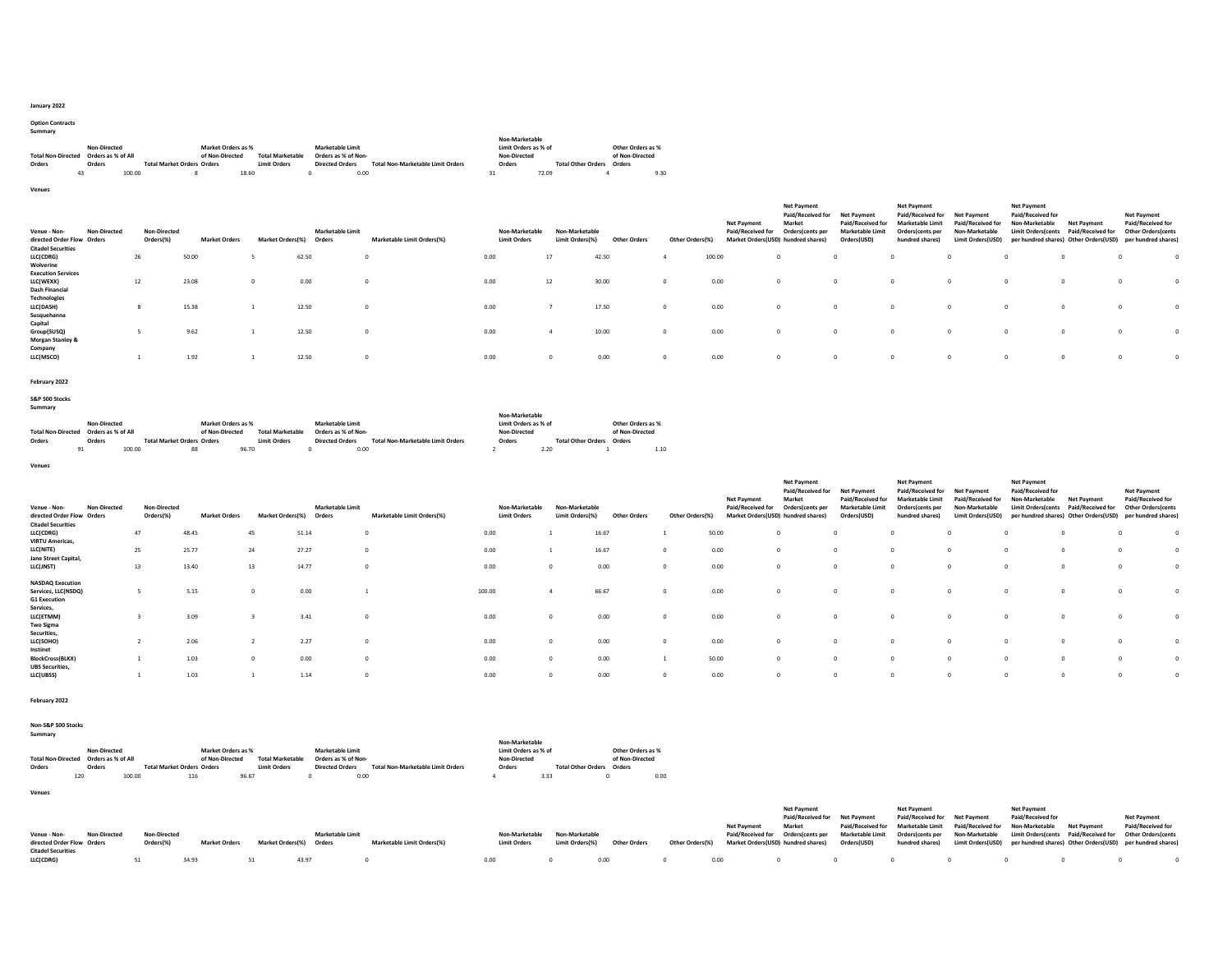### January 2022

# Option Contracts Summary

|                           |                    |        |                                   |                    |       |                         |                        |                     |                                          |        | Non-Marketable       |                           |                   |      |
|---------------------------|--------------------|--------|-----------------------------------|--------------------|-------|-------------------------|------------------------|---------------------|------------------------------------------|--------|----------------------|---------------------------|-------------------|------|
|                           | Non-Directed       |        |                                   | Market Orders as % |       |                         |                        | Marketable Limit    |                                          |        | Limit Orders as % of |                           | Other Orders as % |      |
| <b>Total Non-Directed</b> | Orders as % of All |        |                                   | of Non-Directed    |       | <b>Total Marketable</b> |                        | Orders as % of Non- |                                          |        | Non-Directed         |                           | of Non-Directed   |      |
| Orders                    | Orders             |        | <b>Total Market Orders Orders</b> |                    |       | <b>Limit Orders</b>     | <b>Directed Orders</b> |                     | <b>Total Non-Marketable Limit Orders</b> | Orders |                      | <b>Total Other Orders</b> | Orders            |      |
| 43                        |                    | 100.00 |                                   |                    | 18.60 |                         |                        | 0.00                |                                          | 31     | 72.09                |                           |                   | 9.30 |

Venues

| <b>Non-Directed</b><br>Venue - Non-<br>directed Order Flow Orders<br><b>Citadel Securities</b> | <b>Non-Directed</b><br>Orders(%) | <b>Market Orders</b> | Market Orders(%) | <b>Marketable Limit</b><br>Orders | Marketable Limit Orders(%) | Non-Marketable<br><b>Limit Orders</b> | Non-Marketable<br>Limit Orders(%) | <b>Other Orders</b> | Other Orders(%) | Net Payment<br>Paid/Received for | <b>Net Payment</b><br>Paid/Received for<br>Market<br>Orders(cents per<br>Market Orders(USD) hundred shares) | <b>Net Payment</b><br>Paid/Received for<br><b>Marketable Limit</b><br>Orders(USD) | Net Payment<br>Paid/Received for<br><b>Marketable Limit</b><br>Orders(cents per<br>hundred shares) | <b>Net Payment</b><br>Paid/Received for<br>Non-Marketable<br><b>Limit Orders(USD)</b> | <b>Net Payment</b><br>Paid/Received for<br>Non-Marketable<br><b>Limit Orders/cents</b> | <b>Net Payment</b><br>Paid/Received for<br>per hundred shares) Other Orders(USD) | Net Payment<br>Paid/Received for<br><b>Other Orders (cents</b><br>per hundred shares) |          |
|------------------------------------------------------------------------------------------------|----------------------------------|----------------------|------------------|-----------------------------------|----------------------------|---------------------------------------|-----------------------------------|---------------------|-----------------|----------------------------------|-------------------------------------------------------------------------------------------------------------|-----------------------------------------------------------------------------------|----------------------------------------------------------------------------------------------------|---------------------------------------------------------------------------------------|----------------------------------------------------------------------------------------|----------------------------------------------------------------------------------|---------------------------------------------------------------------------------------|----------|
| LLC(CDRG)                                                                                      | 26                               | 50.00                |                  | 62.50                             |                            | 0.00                                  | 17                                | 42.50               |                 | 100.00                           | $\Omega$                                                                                                    |                                                                                   |                                                                                                    |                                                                                       |                                                                                        |                                                                                  |                                                                                       |          |
| Wolverine<br><b>Execution Services</b>                                                         |                                  |                      |                  |                                   |                            |                                       |                                   |                     |                 |                                  |                                                                                                             |                                                                                   |                                                                                                    |                                                                                       |                                                                                        |                                                                                  |                                                                                       |          |
| LLC(WEXX)                                                                                      | 12                               | 23.08                |                  | 0.00                              |                            | 0.00                                  | 12                                | 30.00               | $^{\circ}$      | 0.00                             | $\Omega$                                                                                                    |                                                                                   |                                                                                                    | $\Omega$                                                                              |                                                                                        | $^{\circ}$                                                                       |                                                                                       |          |
| <b>Dash Financial</b><br><b>Technologies</b>                                                   |                                  |                      |                  |                                   |                            |                                       |                                   |                     |                 |                                  |                                                                                                             |                                                                                   |                                                                                                    |                                                                                       |                                                                                        |                                                                                  |                                                                                       |          |
| LLC(DASH)                                                                                      |                                  | 15.38                |                  | 12.50                             |                            | 0.00                                  |                                   | 17.50               | $^{\circ}$      | 0.00                             | $\Omega$                                                                                                    |                                                                                   |                                                                                                    |                                                                                       |                                                                                        | $\Omega$                                                                         |                                                                                       | $\Omega$ |
| Susquehanna<br>Capital                                                                         |                                  |                      |                  |                                   |                            |                                       |                                   |                     |                 |                                  |                                                                                                             |                                                                                   |                                                                                                    |                                                                                       |                                                                                        |                                                                                  |                                                                                       |          |
| Group(SUSQ)                                                                                    |                                  | 9.62                 |                  | 12.50                             |                            | 0.00                                  |                                   | 10.00               | $^{\circ}$      | 0.00                             | $\Omega$                                                                                                    |                                                                                   |                                                                                                    |                                                                                       |                                                                                        | $\Omega$                                                                         |                                                                                       |          |
| <b>Morgan Stanley &amp;</b>                                                                    |                                  |                      |                  |                                   |                            |                                       |                                   |                     |                 |                                  |                                                                                                             |                                                                                   |                                                                                                    |                                                                                       |                                                                                        |                                                                                  |                                                                                       |          |
| Company<br>LLC(MSCO)                                                                           |                                  | 1.92                 |                  | 12.50                             |                            | 0.00                                  |                                   | 0.00                | $^{\circ}$      | 0.00                             | $\Omega$                                                                                                    |                                                                                   |                                                                                                    |                                                                                       |                                                                                        | $\Omega$                                                                         |                                                                                       | $\Omega$ |

### February 2022

## S&P 500 Stocks Summary

|                           |                    |                                   |                    |                         |                        |                                          | Non-Marketable       |                                  |                   |      |
|---------------------------|--------------------|-----------------------------------|--------------------|-------------------------|------------------------|------------------------------------------|----------------------|----------------------------------|-------------------|------|
|                           | Non-Directed       |                                   | Market Orders as % |                         | Marketable Limit       |                                          | Limit Orders as % of |                                  | Other Orders as % |      |
| <b>Total Non-Directed</b> | Orders as % of All |                                   | of Non-Directed    | <b>Total Marketable</b> | Orders as % of Non-    |                                          | Non-Directed         |                                  | of Non-Directed   |      |
| Orders                    | Orders             | <b>Total Market Orders Orders</b> |                    | <b>Limit Orders</b>     | <b>Directed Orders</b> | <b>Total Non-Marketable Limit Orders</b> | Orders               | <b>Total Other Orders Orders</b> |                   |      |
|                           | 100.00             |                                   | 96.70              |                         |                        | 0.00                                     |                      | 2.2C                             |                   | 1.10 |

Venues

| Venue - Non-<br>directed Order Flow Orders | <b>Non-Directed</b> | <b>Non-Directed</b><br>Orders(%) | <b>Market Orders</b> | Market Orders(%) | Marketable Limit<br>Orders | Marketable Limit Orders(%) | Non-Marketable<br><b>Limit Orders</b> | Non-Marketable<br>Limit Orders(%) | <b>Other Orders</b> | Other Orders (% | <b>Net Payment</b><br>Paid/Received for | <b>Net Payment</b><br>Paid/Received for<br>Market<br>Orders(cents per<br>Market Orders(USD) hundred shares) | <b>Net Payment</b><br>Paid/Received for<br><b>Marketable Limit</b><br>Orders(USD) | <b>Net Payment</b><br>Paid/Received for<br><b>Marketable Limit</b><br>Orders(cents per<br>hundred shares) | <b>Net Payment</b><br>Paid/Received for<br>Non-Marketable<br>Limit Orders(USD) | <b>Net Payment</b><br>Paid/Received for<br>Non-Marketable<br><b>Limit Orders/cents</b> | <b>Net Payment</b><br>Paid/Received for<br>per hundred shares) Other Orders(USD) | <b>Net Payment</b><br>Paid/Received for<br><b>Other Orders (cents</b><br>per hundred shares) |            |
|--------------------------------------------|---------------------|----------------------------------|----------------------|------------------|----------------------------|----------------------------|---------------------------------------|-----------------------------------|---------------------|-----------------|-----------------------------------------|-------------------------------------------------------------------------------------------------------------|-----------------------------------------------------------------------------------|-----------------------------------------------------------------------------------------------------------|--------------------------------------------------------------------------------|----------------------------------------------------------------------------------------|----------------------------------------------------------------------------------|----------------------------------------------------------------------------------------------|------------|
| <b>Citadel Securities</b><br>LLC(CDRG)     |                     | 47                               | 48.45                | 45               | 51.14                      | $\Omega$                   | 0.00                                  |                                   | 16.67               |                 | 50.00                                   | $\Omega$                                                                                                    |                                                                                   | $\Omega$                                                                                                  |                                                                                |                                                                                        |                                                                                  |                                                                                              |            |
| <b>VIRTU Americas,</b>                     |                     |                                  |                      |                  |                            |                            |                                       |                                   |                     |                 |                                         |                                                                                                             |                                                                                   |                                                                                                           |                                                                                |                                                                                        |                                                                                  |                                                                                              |            |
| LLC(NITE)                                  |                     | 25                               | 25.77                | 24               | 27.27                      | $^{\circ}$                 | 0.00                                  |                                   | 16.67               |                 | 0.00                                    | $\Omega$                                                                                                    |                                                                                   | $\Omega$                                                                                                  |                                                                                | $\Omega$                                                                               |                                                                                  |                                                                                              |            |
| Jane Street Capital,                       |                     |                                  |                      |                  |                            |                            |                                       |                                   |                     |                 |                                         |                                                                                                             |                                                                                   |                                                                                                           |                                                                                |                                                                                        |                                                                                  |                                                                                              |            |
| LLC(JNST)                                  |                     | 13                               | 13.40                | 13               | 14.77                      | $^{\circ}$                 | 0.00                                  |                                   | 0.00                |                 | 0.00                                    | $\overline{0}$                                                                                              |                                                                                   | 0                                                                                                         |                                                                                |                                                                                        |                                                                                  |                                                                                              |            |
| <b>NASDAQ Execution</b>                    |                     |                                  |                      |                  |                            |                            |                                       |                                   |                     |                 |                                         |                                                                                                             |                                                                                   |                                                                                                           |                                                                                |                                                                                        |                                                                                  |                                                                                              |            |
| Services, LLC(NSDQ)                        |                     |                                  | 5.15                 | $\circ$          | 0.00                       |                            | 100.00                                |                                   | 66.67               |                 | 0.00                                    | $\overline{0}$                                                                                              |                                                                                   | $\Omega$                                                                                                  |                                                                                |                                                                                        |                                                                                  |                                                                                              | $\Omega$   |
| <b>G1 Execution</b>                        |                     |                                  |                      |                  |                            |                            |                                       |                                   |                     |                 |                                         |                                                                                                             |                                                                                   |                                                                                                           |                                                                                |                                                                                        |                                                                                  |                                                                                              |            |
| Services,                                  |                     |                                  |                      |                  |                            |                            |                                       |                                   |                     |                 |                                         |                                                                                                             |                                                                                   |                                                                                                           |                                                                                |                                                                                        |                                                                                  |                                                                                              |            |
| LLC(ETMM)                                  |                     |                                  | 3.09                 |                  | 3.41                       | $^{\circ}$                 | 0.00                                  |                                   | 0.00                |                 | 0.00                                    | $\Omega$                                                                                                    |                                                                                   | $\Omega$                                                                                                  |                                                                                |                                                                                        |                                                                                  |                                                                                              | $\sqrt{2}$ |
| <b>Two Sigma</b>                           |                     |                                  |                      |                  |                            |                            |                                       |                                   |                     |                 |                                         |                                                                                                             |                                                                                   |                                                                                                           |                                                                                |                                                                                        |                                                                                  |                                                                                              |            |
| Securities,<br>LLC(SOHO)                   |                     |                                  | 2.06                 |                  | 2.27                       |                            | 0.00                                  |                                   | 0.00                |                 | 0.00                                    | $\circ$                                                                                                     |                                                                                   |                                                                                                           |                                                                                |                                                                                        |                                                                                  |                                                                                              |            |
| Instinet                                   |                     |                                  |                      |                  |                            | $^{\circ}$                 |                                       |                                   |                     |                 |                                         |                                                                                                             |                                                                                   |                                                                                                           |                                                                                |                                                                                        |                                                                                  |                                                                                              |            |
| <b>BlockCross(BLKX)</b>                    |                     |                                  | 1.03                 | $^{\circ}$       | 0.00                       | $\mathbf{0}$               | 0.00                                  |                                   | 0.00                |                 | 50.00                                   | $\overline{0}$                                                                                              |                                                                                   | $\Omega$                                                                                                  |                                                                                |                                                                                        |                                                                                  |                                                                                              |            |
| <b>UBS Securities,</b>                     |                     |                                  |                      |                  |                            |                            |                                       |                                   |                     |                 |                                         |                                                                                                             |                                                                                   |                                                                                                           |                                                                                |                                                                                        |                                                                                  |                                                                                              |            |
| LLC(UBSS)                                  |                     |                                  | 1.03                 |                  | 1.14                       |                            | 0.00                                  |                                   | 0.00                |                 | 0.00                                    |                                                                                                             |                                                                                   | $\Omega$                                                                                                  |                                                                                |                                                                                        |                                                                                  |                                                                                              |            |
|                                            |                     |                                  |                      |                  |                            |                            |                                       |                                   |                     |                 |                                         |                                                                                                             |                                                                                   |                                                                                                           |                                                                                |                                                                                        |                                                                                  |                                                                                              |            |

#### February 2022

# Non-S&P 500 Stocks Summary

|                           |                    |        |                                   |                    |                         |                         |                                          | Non-Marketable       |                                  |                   |      |
|---------------------------|--------------------|--------|-----------------------------------|--------------------|-------------------------|-------------------------|------------------------------------------|----------------------|----------------------------------|-------------------|------|
|                           | Non-Directed       |        |                                   | Market Orders as % |                         | <b>Marketable Limit</b> |                                          | Limit Orders as % of |                                  | Other Orders as % |      |
| <b>Total Non-Directed</b> | Orders as % of All |        |                                   | of Non-Directed    | <b>Total Marketable</b> | Orders as % of Non-     |                                          | Non-Directed         |                                  | of Non-Directed   |      |
| Orders                    | Orders             |        | <b>Total Market Orders Orders</b> |                    | <b>Limit Orders</b>     | <b>Directed Orders</b>  | <b>Total Non-Marketable Limit Orders</b> | Orders               | <b>Total Other Orders Orders</b> |                   |      |
| 120                       |                    | 100.00 | 116                               | 96.67              |                         | 0.00                    |                                          |                      | 3.33                             |                   | 0.00 |

Venues

|                            |                     |                     |                      |                         |                            |                     |                 |                     |                 |             | <b>Net Payment</b>                             | <b>Net Payment</b>            |                                                                                                                                             | <b>Net Payment</b> |                    |  |
|----------------------------|---------------------|---------------------|----------------------|-------------------------|----------------------------|---------------------|-----------------|---------------------|-----------------|-------------|------------------------------------------------|-------------------------------|---------------------------------------------------------------------------------------------------------------------------------------------|--------------------|--------------------|--|
|                            |                     |                     |                      |                         |                            |                     |                 |                     |                 |             | Paid/Received for Net Payment                  | Paid/Received for Net Payment |                                                                                                                                             | Paid/Received for  | <b>Net Payment</b> |  |
|                            |                     |                     |                      |                         |                            |                     |                 |                     |                 | Net Payment | Market                                         |                               | Paid/Received for Marketable Limit Paid/Received for Non-Marketable Net Payment                                                             |                    | Paid/Received for  |  |
| Venue - Non-               | <b>Non-Directed</b> | <b>Non-Directed</b> |                      | <b>Marketable Limit</b> |                            | Non-Marketable      | Non-Marketable  |                     |                 |             |                                                |                               | Paid/Received for Orders(cents per Marketable Limit Orders(cents per Non-Marketable Limit Orders(cents Paid/Received for Other Orders(cents |                    |                    |  |
| directed Order Flow Orders |                     | Orders(%)           | <b>Market Orders</b> | Market Orders(%) Orders | Marketable Limit Orders(%) | <b>Limit Orders</b> | Limit Orders(%) | <b>Other Orders</b> | Other Orders(%) |             | Market Orders(USD) hundred shares) Orders(USD) | hundred shares)               | Limit Orders(USD) per hundred shares) Other Orders(USD) per hundred shares)                                                                 |                    |                    |  |
| <b>Citadel Securities</b>  |                     |                     |                      |                         |                            |                     |                 |                     |                 |             |                                                |                               |                                                                                                                                             |                    |                    |  |
| LLC(CDRG)                  |                     |                     | 34.93                | 43.97                   |                            | 0.00                |                 | 0.00                |                 | 0.00        |                                                |                               |                                                                                                                                             |                    |                    |  |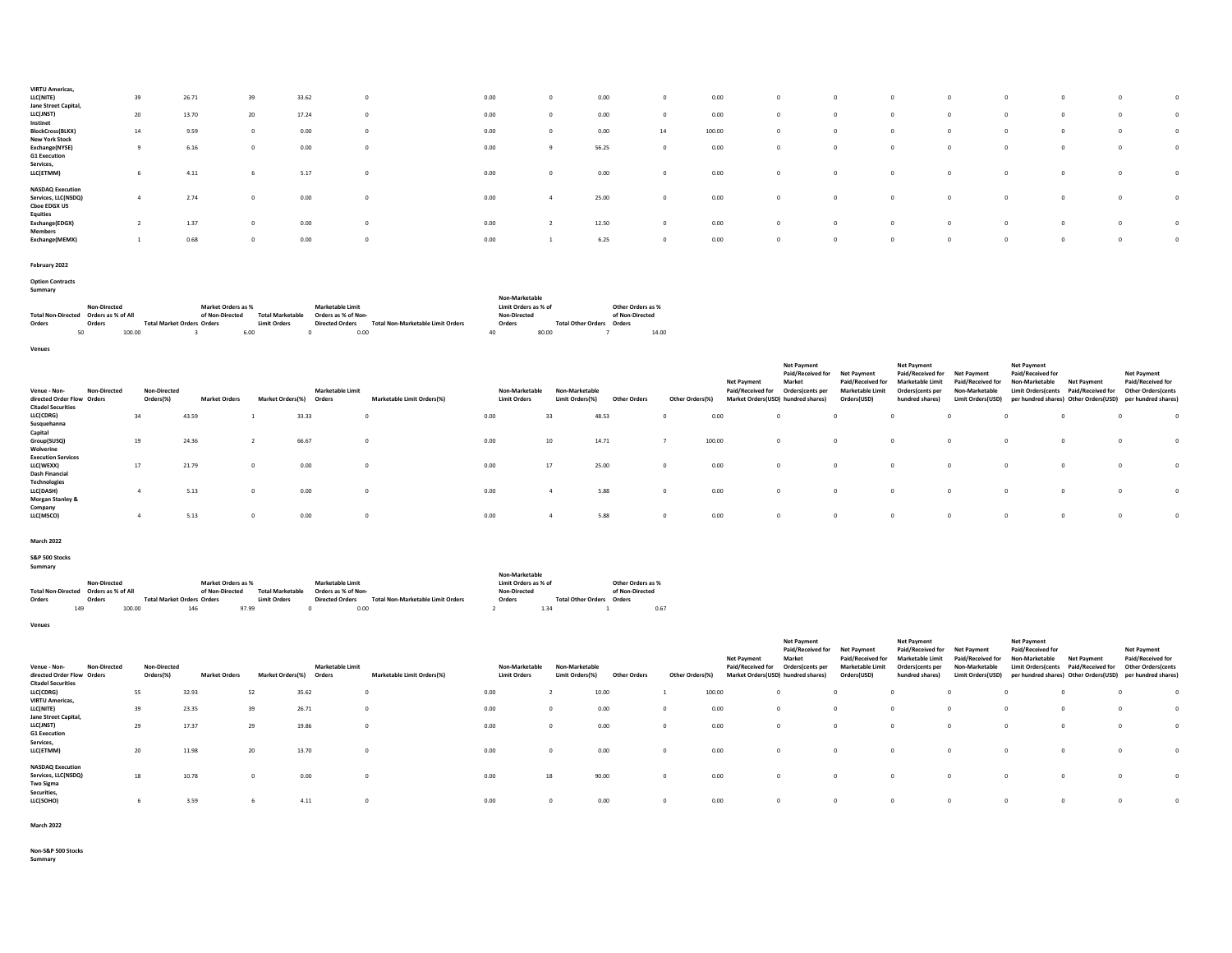| <b>VIRTU Americas,</b>                                                |    |       |             |       |          |      |       |          |        |          |          |          |          |
|-----------------------------------------------------------------------|----|-------|-------------|-------|----------|------|-------|----------|--------|----------|----------|----------|----------|
| LLC(NITE)<br>Jane Street Capital,                                     | 39 | 26.71 | 39          | 33.62 | $\Omega$ | 0.00 | 0.00  |          | 0.00   |          |          |          | $\Omega$ |
| LLC(JNST)                                                             | 20 | 13.70 | 20          | 17.24 | $\Omega$ | 0.00 | 0.00  |          | 0.00   |          |          |          | $\Omega$ |
| Instinet<br><b>BlockCross(BLKX)</b>                                   | 14 | 9.59  | $^{\circ}$  | 0.00  | $\Omega$ | 0.00 | 0.00  | 14       | 100.00 |          |          |          | $\Omega$ |
| <b>New York Stock</b>                                                 |    |       |             |       |          |      |       |          |        |          |          |          |          |
| Exchange(NYSE)<br><b>G1 Execution</b>                                 |    | 6.16  | $^{\circ}$  | 0.00  | $\Omega$ | 0.00 | 56.25 | $\Omega$ | 0.00   | - 0      | n        |          | $\Omega$ |
| Services,<br>LLC(ETMM)                                                |    | 4.11  | -6          | 5.17  | $\Omega$ | 0.00 | 0.00  |          | 0.00   |          | n        |          | $\Omega$ |
| <b>NASDAQ Execution</b><br>Services, LLC(NSDQ)<br><b>Cboe EDGX US</b> |    | 2.74  | $^{\circ}$  | 0.00  | 0        | 0.00 | 25.00 | $\Omega$ | 0.00   | $\Omega$ | $\Omega$ | $\Omega$ | $\Omega$ |
| <b>Equities</b><br>Exchange(EDGX)<br><b>Members</b>                   |    | 1.37  | $^{\circ}$  | 0.00  | $\Omega$ | 0.00 | 12.50 | $\Omega$ | 0.00   |          | $\Omega$ |          |          |
| Exchange(MEMX)                                                        |    | 0.68  | $\mathbf 0$ | 0.00  | $\Omega$ | 0.00 | 6.25  | $\Omega$ | 0.00   | O        | $\Omega$ |          | $\Omega$ |
|                                                                       |    |       |             |       |          |      |       |          |        |          |          |          |          |

```
February 2022
```
Option Contracts Summary

|                           |                    |        |                                   |                                            |      |                     |                        |                                          | Non-Marketable       |       |                                  |                   |       |  |
|---------------------------|--------------------|--------|-----------------------------------|--------------------------------------------|------|---------------------|------------------------|------------------------------------------|----------------------|-------|----------------------------------|-------------------|-------|--|
| Non-Directed              |                    |        | Market Orders as %                |                                            |      | Marketable Limit    |                        |                                          | Limit Orders as % of |       |                                  | Other Orders as % |       |  |
| <b>Total Non-Directed</b> | Orders as % of All |        |                                   | <b>Total Marketable</b><br>of Non-Directed |      |                     | Orders as % of Non-    |                                          | Non-Directed         |       |                                  | of Non-Directed   |       |  |
| Orders                    | Orders             |        | <b>Total Market Orders Orders</b> |                                            |      | <b>Limit Orders</b> | <b>Directed Orders</b> | <b>Total Non-Marketable Limit Orders</b> | Orders               |       | <b>Total Other Orders Orders</b> |                   |       |  |
|                           |                    | 100.00 |                                   |                                            | 6.00 |                     | 0.00                   |                                          |                      | 80.00 |                                  |                   | 14.00 |  |

Venues

| Venue - Non-<br><b>Non-Directed</b><br>directed Order Flow Orders<br><b>Citadel Securities</b> |    | Non-Directed<br>Orders(%) | <b>Market Orders</b> | <b>Market Orders(%)</b> | Marketable Limit<br>Orders | Marketable Limit Orders(%) | Non-Marketable<br><b>Limit Orders</b> | Non-Marketable<br>)rders(%)<br>Limit | <b>Other Order</b> | Other Orders <sup>(9</sup> | <b>Net Payment</b><br>Paid/Received for<br>Market Orders (USD) hundred shares) | <b>Net Payment</b><br>Paid/Received for<br>Market<br>Orders(cents per | <b>Net Payment</b><br>Paid/Received for<br><b>Marketable Limit</b><br>Orders(USD) | <b>Net Payment</b><br>Paid/Received for<br><b>Marketable Limit</b><br>Orders(cents per<br>hundred shares | <b>Net Payment</b><br>Paid/Received for<br>Non-Marketable<br>Limit Orders(USD) | <b>Net Payment</b><br>Paid/Received for<br>Non-Marketable<br><b>Limit Orders cents</b> | <b>Net Payment</b><br>Paid/Received for<br>per hundred shares) Other Orders(USD) | Net Payment<br>Paid/Received for<br><b>Other Orders (cents</b><br>per hundred shares) |          |
|------------------------------------------------------------------------------------------------|----|---------------------------|----------------------|-------------------------|----------------------------|----------------------------|---------------------------------------|--------------------------------------|--------------------|----------------------------|--------------------------------------------------------------------------------|-----------------------------------------------------------------------|-----------------------------------------------------------------------------------|----------------------------------------------------------------------------------------------------------|--------------------------------------------------------------------------------|----------------------------------------------------------------------------------------|----------------------------------------------------------------------------------|---------------------------------------------------------------------------------------|----------|
| LLC(CDRG)                                                                                      | 34 |                           | 43.59                |                         | 33.33                      |                            | 0.00                                  | 33                                   | 48.53              |                            | 0.00                                                                           |                                                                       | $^{\circ}$                                                                        |                                                                                                          |                                                                                |                                                                                        |                                                                                  |                                                                                       |          |
| Susquehanna<br>Capital<br>Group(SUSQ)<br>Wolverine                                             | 19 |                           | 24.36                |                         | 66.67                      |                            | 0.00                                  | 10                                   | 14.71              |                            | 100.00                                                                         |                                                                       | $^{\circ}$                                                                        |                                                                                                          |                                                                                |                                                                                        |                                                                                  |                                                                                       |          |
| <b>Execution Services</b><br>LLC(WEXX)<br><b>Dash Financial</b>                                | 17 |                           | 21.79                |                         | 0.00                       |                            | 0.00                                  | 17                                   | 25.00              | $\Omega$                   | 0.00                                                                           |                                                                       | $^{\circ}$                                                                        |                                                                                                          |                                                                                |                                                                                        |                                                                                  |                                                                                       | $\Omega$ |
| <b>Technologies</b><br>LLC(DASH)<br><b>Morgan Stanley &amp;</b>                                |    |                           | 5.13                 |                         | 0.00                       |                            | 0.00                                  |                                      | 5.88               |                            | 0.00                                                                           |                                                                       | $\Omega$                                                                          |                                                                                                          | $\Omega$                                                                       |                                                                                        |                                                                                  |                                                                                       |          |
| Company<br>LLC(MSCO)                                                                           |    |                           | 5.13                 |                         | 0.00                       |                            | 0.00                                  |                                      | 5.88               | $\circ$                    | 0.00                                                                           |                                                                       | $\circ$                                                                           |                                                                                                          | $\Omega$                                                                       |                                                                                        | $\Omega$                                                                         |                                                                                       | $\Omega$ |

March 2022

S&P 500 Stocks Summary

|                           |                                    |                                   |                 |                         |                        |                                          |                      | Non-Marketable            |                   |  |  |  |  |
|---------------------------|------------------------------------|-----------------------------------|-----------------|-------------------------|------------------------|------------------------------------------|----------------------|---------------------------|-------------------|--|--|--|--|
|                           | Non-Directed<br>Market Orders as % |                                   |                 |                         | Marketable Limit       |                                          | Limit Orders as % of |                           | Other Orders as % |  |  |  |  |
| <b>Total Non-Directed</b> | Orders as % of All                 |                                   | of Non-Directed | <b>Total Marketable</b> | Orders as % of Non-    |                                          | Non-Directed         |                           | of Non-Directed   |  |  |  |  |
| Orders                    | Orders                             | <b>Total Market Orders Orders</b> |                 | <b>Limit Orders</b>     | <b>Directed Orders</b> | <b>Total Non-Marketable Limit Orders</b> | Orders               | <b>Total Other Orders</b> | Orders            |  |  |  |  |
|                           | 100.00                             | 146                               | 97.99           |                         |                        | 0.00                                     |                      | 1.30                      | 0.67              |  |  |  |  |

Venues

| <b>Non-Directed</b><br>Venue - Non-<br>directed Order Flow Orders<br><b>Citadel Securities</b> | <b>Non-Directed</b><br>Orders(%) | <b>Market Orders</b> | Market Orders(%) | <b>Marketable Limit</b><br>Orders | Marketable Limit Orders(%) | Non-Marketable<br><b>Limit Orders</b> | Non-Marketable<br>Limit Orders(%) | <b>Other Orders</b> | Other Orders(%) | <b>Net Payment</b><br>Paid/Received<br>for | <b>Net Payment</b><br>Paid/Received for<br>Market<br>Orders(cents per<br>Market Orders(USD) hundred shares) | Net Payment<br>Paid/Received for<br><b>Marketable Limit</b><br>Orders(USD) | <b>Net Payment</b><br>Paid/Received for<br><b>Marketable Limit</b><br>Orders(cents per<br>hundred shares) | <b>Net Payment</b><br><b>Paid/Receive</b><br>Non-Marketable<br>Limit Orders(USD) | <b>Net Payment</b><br>Paid/Received for<br>Non-Marketable<br><b>Limit Orders(cents</b> | <b>Net Payment</b><br>Paid/Received<br>per hundred shares) Other Orders(USD) | <b>Net Payment</b><br>Paid/Received for<br><b>Other Orders (cents</b><br>per hundred shares) |              |
|------------------------------------------------------------------------------------------------|----------------------------------|----------------------|------------------|-----------------------------------|----------------------------|---------------------------------------|-----------------------------------|---------------------|-----------------|--------------------------------------------|-------------------------------------------------------------------------------------------------------------|----------------------------------------------------------------------------|-----------------------------------------------------------------------------------------------------------|----------------------------------------------------------------------------------|----------------------------------------------------------------------------------------|------------------------------------------------------------------------------|----------------------------------------------------------------------------------------------|--------------|
| LLC(CDRG)                                                                                      | 55                               | 32.93                | 52               | 35.62                             |                            | 0.00                                  |                                   | 10.00               |                 | 100.00                                     |                                                                                                             |                                                                            |                                                                                                           |                                                                                  |                                                                                        |                                                                              |                                                                                              | $\Omega$     |
| <b>VIRTU Americas,</b>                                                                         |                                  |                      |                  |                                   |                            |                                       |                                   |                     |                 |                                            |                                                                                                             |                                                                            |                                                                                                           |                                                                                  |                                                                                        |                                                                              |                                                                                              |              |
| LLC(NITE)                                                                                      | 39                               | 23.35                | 39               | 26.71                             |                            | 0.00                                  |                                   | 0.00                |                 | 0.00                                       |                                                                                                             |                                                                            |                                                                                                           |                                                                                  |                                                                                        |                                                                              |                                                                                              | $\mathbf{0}$ |
| Jane Street Capital,<br>LLC(JNST)<br><b>G1 Execution</b>                                       | 29                               | 17.37                | 29               | 19.86                             |                            | 0.00                                  |                                   | 0.00                |                 | 0.00                                       |                                                                                                             |                                                                            |                                                                                                           |                                                                                  |                                                                                        |                                                                              |                                                                                              | $\Omega$     |
| Services,<br>LLC(ETMM)                                                                         | 20                               | 11.98                | 20               | 13.70                             |                            | 0.00                                  |                                   | 0.00                |                 | 0.00                                       |                                                                                                             |                                                                            |                                                                                                           |                                                                                  |                                                                                        |                                                                              |                                                                                              | $\Omega$     |
| <b>NASDAQ Execution</b><br>Services, LLC(NSDQ)<br><b>Two Sigma</b>                             | 18                               | 10.78                |                  | 0.00                              |                            | 0.00                                  | 18                                | 90.00               |                 | 0.00                                       |                                                                                                             |                                                                            |                                                                                                           |                                                                                  |                                                                                        |                                                                              |                                                                                              | $^{\circ}$   |
| Securities,<br>LLC(SOHO)                                                                       |                                  | 3.59                 |                  | 4.11                              |                            | 0.00                                  |                                   | 0.00                |                 | 0.00                                       |                                                                                                             |                                                                            |                                                                                                           |                                                                                  |                                                                                        |                                                                              |                                                                                              | $\Omega$     |

March 2022

Non-S&P 500 Stocks Summary